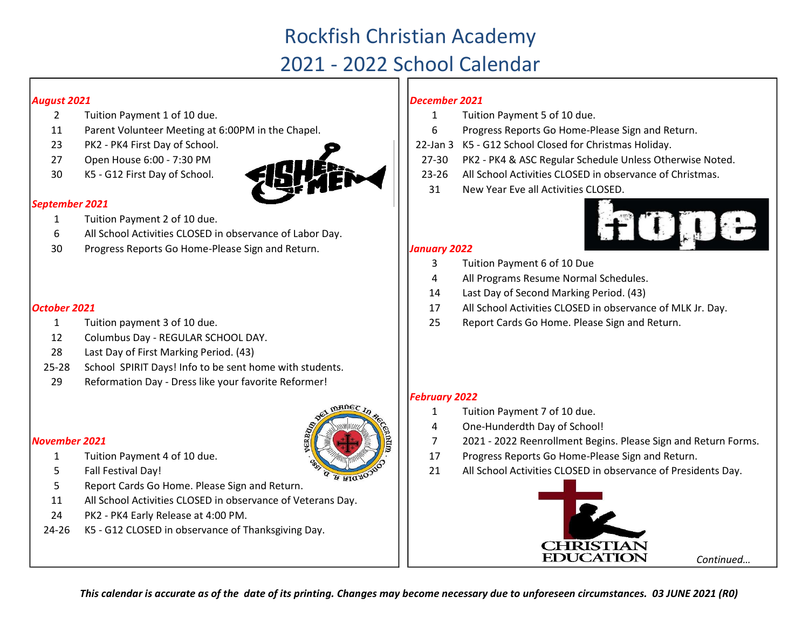# Rockfish Christian Academy

## 2021 - 2022 School Calendar

### August 2021

- 2 Tuition Payment 1 of 10 due.  $\begin{array}{|c|c|c|c|c|} \hline \text{1} & 1 & 1 \end{array}$
- 11 Parent Volunteer Meeting at 6:00PM in the Chapel.  $\vert \vert$  6
- 23 22-Jan 3 PK2 PK4 First Day of School.
- 
- 



### September 2021

- 1 Tuition Payment 2 of 10 due.
- 6 All School Activities CLOSED in observance of Labor Day.
- 30 Progress Reports Go Home-Please Sign and Return. **Juliet Constant 1988** 1988 Progress Reports Go Home-Please Sign and Return.

- 1 Tuition payment 3 of 10 due. 25
- 12 Columbus Day REGULAR SCHOOL DAY.
- 28 Last Day of First Marking Period. (43)
- 25-28 School SPIRIT Days! Info to be sent home with students.
- 29 Reformation Day Dress like your favorite Reformer!

### November 2021



- 
- **October 2021** 17 All School Activities CLOSED in observance of MLK Jr. Day.
	- Report Cards Go Home. Please Sign and Return.

### February 2022

- 1 Tuition Payment 7 of 10 due.
- 4 One-Hunderdth Day of School!
- 7 2021 - 2022 Reenrollment Begins. Please Sign and Return Forms.
- Progress Reports Go Home-Please Sign and Return.
- All School Activities CLOSED in observance of Presidents Day.



### December 2021

- Tuition Payment 5 of 10 due.
- Progress Reports Go Home-Please Sign and Return.
- 22-Jan 3 K5 G12 School Closed for Christmas Holiday.
- 27-30 PK2 PK4 & ASC Regular Schedule Unless Otherwise Noted.
- 23-26 All School Activities CLOSED in observance of Christmas.
- 31 New Year Eve all Activities CLOSED.



- 3 Tuition Payment 6 of 10 Due
- 4 All Programs Resume Normal Schedules.
- 14 Last Day of Second Marking Period. (43)
- 
- 

- 1 Tuition Payment 4 of 10 due.
- $\frac{1}{2}$  5 Fall Festival Day! 21
- 5 Report Cards Go Home. Please Sign and Return.
- 11 All School Activities CLOSED in observance of Veterans Day.
- 24 PK2 PK4 Early Release at 4:00 PM.
- 24-26 K5 G12 CLOSED in observance of Thanksgiving Day.